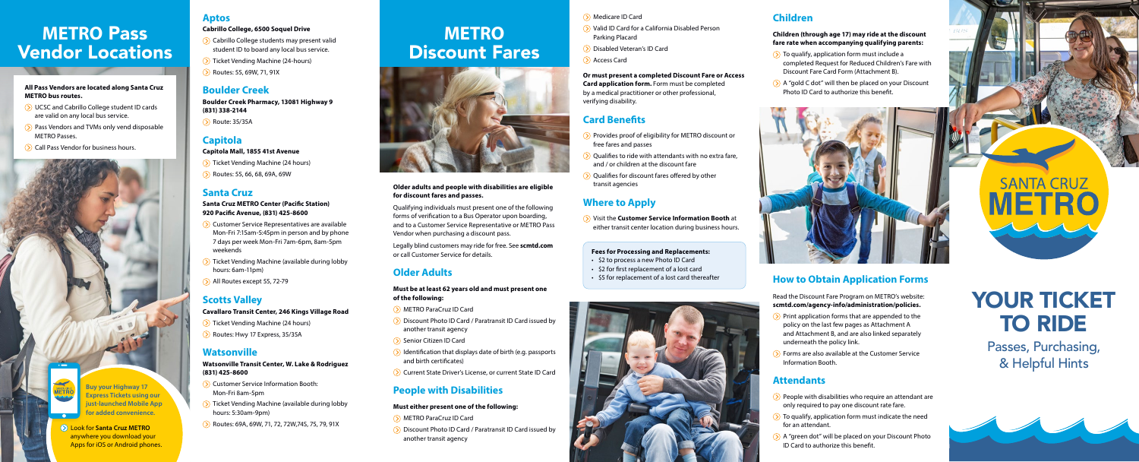# YOUR TICKET TO RIDE

**SANTA CRUZ** 

# **METRO Discount Fares**



Passes, Purchasing, & Helpful Hints



# **METRO** Pass Vendor Locations

### **Older adults and people with disabilities are eligible for discount fares and passes.**

Qualifying individuals must present one of the following forms of verification to a Bus Operator upon boarding, and to a Customer Service Representative or METRO Pass Vendor when purchasing a discount pass.

Legally blind customers may ride for free. See **scmtd.com** or call Customer Service for details.

## **Older Adults**

- UCSC and Cabrillo College student ID cards are valid on any local bus service.
- **(b)** Pass Vendors and TVMs only vend disposable METRO Passes.
- **(b)** Call Pass Vendor for business hours.

### **Must be at least 62 years old and must present one of the following:**

- METRO ParaCruz ID Card
- $\odot$  Discount Photo ID Card / Paratransit ID Card issued by another transit agency
- $\odot$  Senior Citizen ID Card
- $\odot$  Identification that displays date of birth (e.g. passports and birth certificates)
- Current State Driver's License, or current State ID Card
- $\Diamond$  Ticket Vending Machine (24 hours)
- Routes: 55, 66, 68, 69A, 69W

## **People with Disabilities**

### **Must either present one of the following:**

- METRO ParaCruz ID Card
- Discount Photo ID Card / Paratransit ID Card issued by another transit agency
- $\odot$  Customer Service Representatives are available Mon-Fri 7:15am-5:45pm in person and by phone 7 days per week Mon-Fri 7am-6pm, 8am-5pm weekends
- Ticket Vending Machine (available during lobby hours: 6am-11pm)
- All Routes except 55, 72-79

#### **All Pass Vendors are located along Santa Cruz METRO bus routes.**

### **Aptos**

### **Cabrillo College, 6500 Soquel Drive**

- $\Diamond$  Cabrillo College students may present valid student ID to board any local bus service.
- Ticket Vending Machine (24-hours)
- **(b)** Routes: 55, 69W, 71, 91X

- $\Diamond$  Provides proof of eligibility for METRO discount or free fares and passes
- $\odot$  Qualifies to ride with attendants with no extra fare, and / or children at the discount fare
- $\Diamond$  Qualifies for discount fares offered by other transit agencies

## **Boulder Creek**

**Boulder Creek Pharmacy, 13081 Highway 9 (831) 338-2144**

**(>)** Route: 35/35A

## **Capitola**

### **Capitola Mall, 1855 41st Avenue**

### **Santa Cruz**

- $\sum$  Print application forms that are appended to the policy on the last few pages as Attachment A and Attachment B, and are also linked separately underneath the policy link.
- $\left( \right)$  Forms are also available at the Customer Service Information Booth.

### **Santa Cruz METRO Center (Pacific Station) 920 Pacific Avenue, (831) 425-8600**

- $\Diamond$  People with disabilities who require an attendant are only required to pay one discount rate fare.
- $\sum$  To qualify, application form must indicate the need for an attendant.
- $\Diamond$  A "green dot" will be placed on your Discount Photo ID Card to authorize this benefit.

## **Scotts Valley**

### **Cavallaro Transit Center, 246 Kings Village Road**

- Ticket Vending Machine (24 hours)
- Routes: Hwy 17 Express, 35/35A
- $\Diamond$  To qualify, application form must include a completed Request for Reduced Children's Fare with Discount Fare Card Form (Attachment B).
- $\Diamond$  A "gold C dot" will then be placed on your Discount Photo ID Card to authorize this benefit.



### **Watsonville**

### **Watsonville Transit Center, W. Lake & Rodriguez (831) 425-8600**

- Customer Service Information Booth: Mon-Fri 8am-5pm
- Ticket Vending Machine (available during lobby hours: 5:30am-9pm)
- Routes: 69A, 69W, 71, 72, 72W,74S, 75, 79, 91X

### Medicare ID Card

- (b) Valid ID Card for a California Disabled Person Parking Placard
- Disabled Veteran's ID Card
- **(S)** Access Card

**Or must present a completed Discount Fare or Access Card application form.** Form must be completed by a medical practitioner or other professional, verifying disability.

## **Card Benefits**

## **Where to Apply**

 Visit the **Customer Service Information Booth** at either transit center location during business hours.

## **How to Obtain Application Forms**

Read the Discount Fare Program on METRO's website: **[scmtd.com/agency-info/administration/policies](http://scmtd.com/en/agency-info/administration/policies).**

## **Attendants**



**just-launched Mobile App for added convenience.** 

### Look for **Santa Cruz METRO** anywhere you download your Apps for iOS or Android phones.

## **Children**

### **Children (through age 17) may ride at the discount fare rate when accompanying qualifying parents:**

#### **Fees for Processing and Replacements:**

- \$2 to process a new Photo ID Card
- \$2 for first replacement of a lost card
- \$5 for replacement of a lost card thereafter